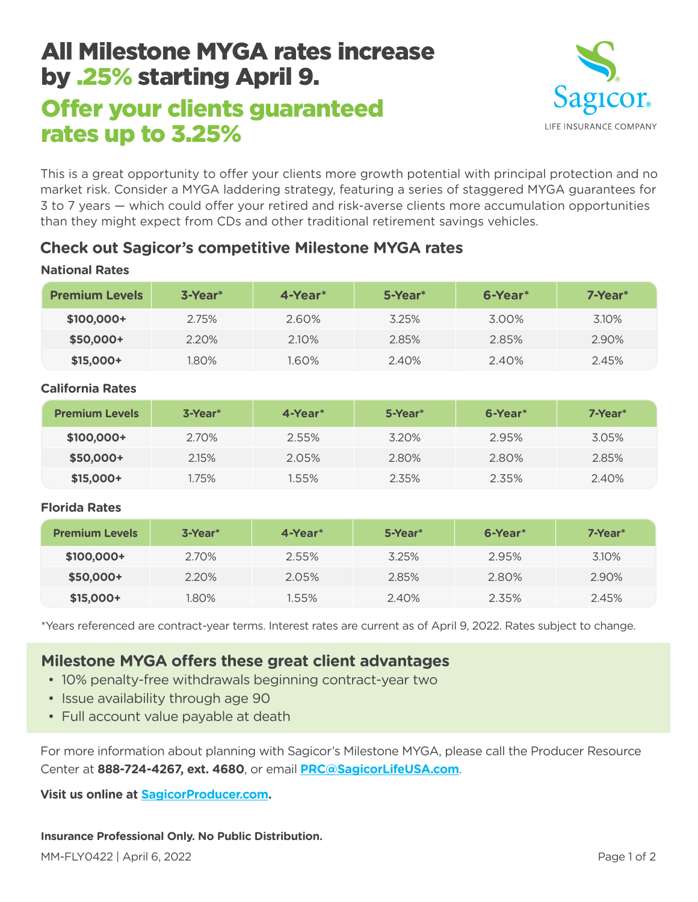# All Milestone MYGA rates increase by .25% starting April 9.

## Offer your clients guaranteed rates up to 3.25%



This is a great opportunity to offer your clients more growth potential with principal protection and no market risk. Consider a MYGA laddering strategy, featuring a series of staggered MYGA guarantees for 3 to 7 years — which could offer your retired and risk-averse clients more accumulation opportunities than they might expect from CDs and other traditional retirement savings vehicles.

## **Check out Sagicor's competitive Milestone MYGA rates**

| <b>Premium Levels</b> | $3$ -Year $*$ | $4$ -Year $*$ | 5-Year* | 6-Year* | $7 - Year*$ |
|-----------------------|---------------|---------------|---------|---------|-------------|
| \$100,000+            | 2.75%         | 2.60%         | 3.25%   | 3.00%   | 3.10%       |
| \$50,000+             | 2.20%         | 2.10%         | 2.85%   | 2.85%   | 2.90%       |
| $$15,000+$            | 1.80%         | 1.60%         | 2.40%   | 2.40%   | 2.45%       |

### **National Rates**

#### **California Rates**

| <b>Premium Levels</b> | $3-Year*$ | 4-Year* | 5-Year* | 6-Year <sup>*</sup> | 7-Year* |
|-----------------------|-----------|---------|---------|---------------------|---------|
| \$100,000+            | 2.70%     | 2.55%   | 3.20%   | 2.95%               | 3.05%   |
| \$50,000+             | 2.15%     | 2.05%   | 2.80%   | 2.80%               | 2.85%   |
| $$15,000+$            | 1.75%     | 1.55%   | 2.35%   | 2.35%               | 2.40%   |

#### **Florida Rates**

| <b>Premium Levels</b> | $3$ -Year $*$ | 4-Year* | 5-Year* | 6-Year* | 7-Year* |
|-----------------------|---------------|---------|---------|---------|---------|
| $$100,000+$           | 2.70%         | 2.55%   | 3.25%   | 2.95%   | 3.10%   |
| \$50,000+             | 2.20%         | 2.05%   | 2.85%   | 2.80%   | 2.90%   |
| $$15,000+$            | 1.80%         | 1.55%   | 2.40%   | 2.35%   | 2.45%   |

\*Years referenced are contract-year terms. Interest rates are current as of April 9, 2022. Rates subject to change.

## **Milestone MYGA offers these great client advantages**

- 10% penalty-free withdrawals beginning contract-year two
- Issue availability through age 90
- Full account value payable at death

For more information about planning with Sagicor's Milestone MYGA, please call the Producer Resource Center at **888-724-4267, ext. 4680**, or email **PRC@SagicorLifeUSA.com**.

**Visit us online at [SagicorProducer.com](https://www.sagicorproducer.com/en-us).**

#### **Insurance Professional Only. No Public Distribution.**